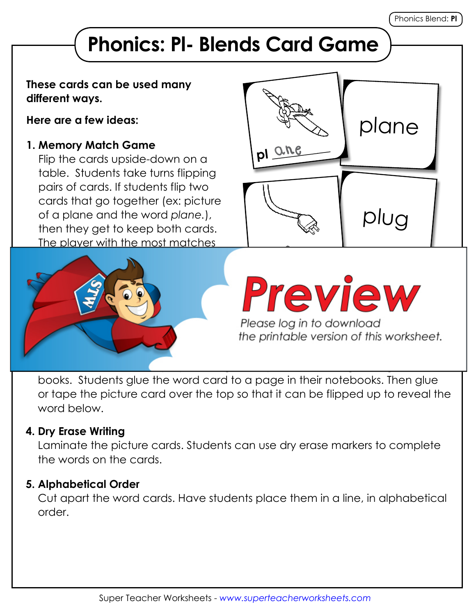# **Phonics: Pl- Blends Card Game**

#### **These cards can be used many different ways.**

**Here are a few ideas:**

### **1. Memory Match Game**

Flip the cards upside-down on a table. Students take turns flipping pairs of cards. If students flip two cards that go together (ex: picture of a plane and the word *plane.*), then they get to keep both cards. The player with the most matches





books. Students glue the word card to a page in their notebooks. Then glue or tape the picture card over the top so that it can be flipped up to reveal the word below.

## **4. Dry Erase Writing**

Laminate the picture cards. Students can use dry erase markers to complete the words on the cards.

#### **5. Alphabetical Order**

Cut apart the word cards. Have students place them in a line, in alphabetical order.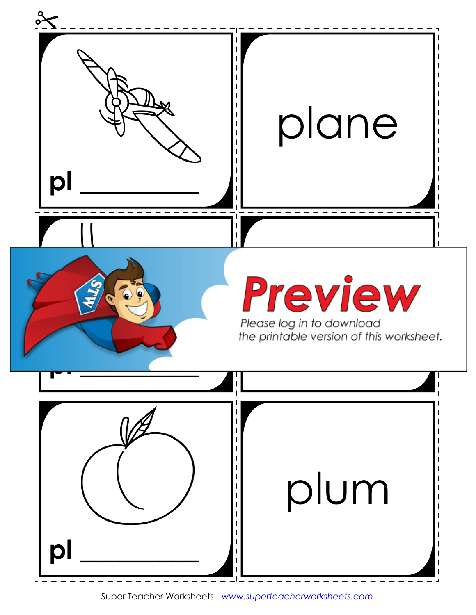

Super Teacher Worksheets - *www.superteacherworksheets.com*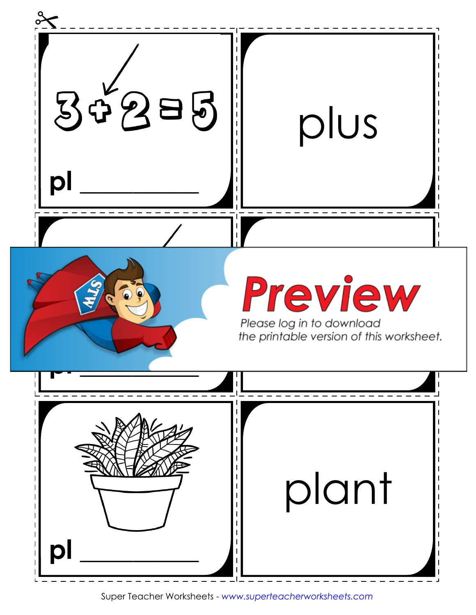

Super Teacher Worksheets - *www.superteacherworksheets.com*